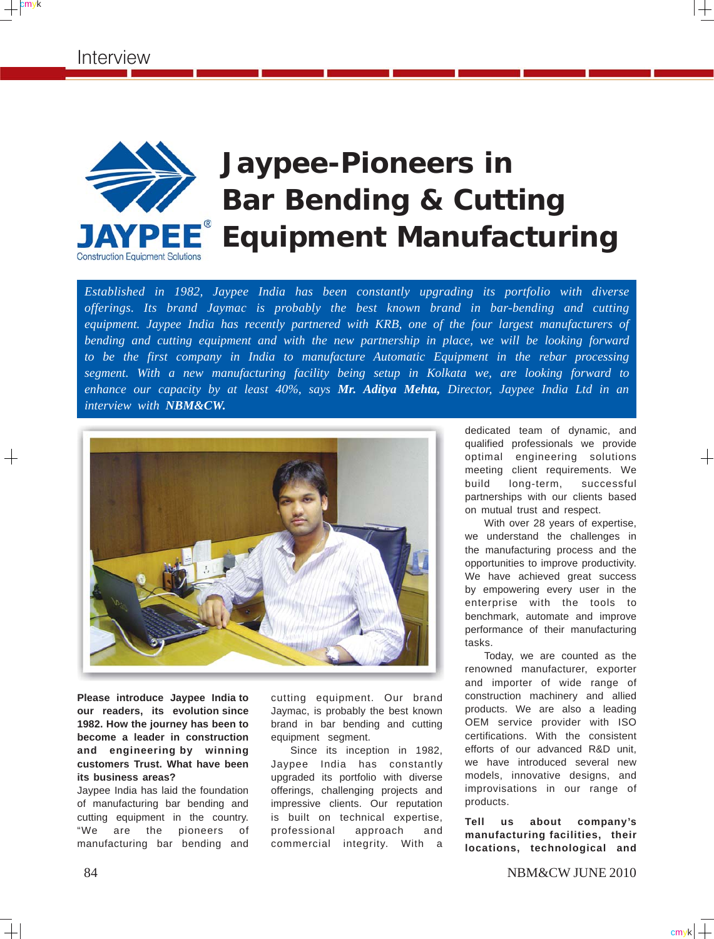$+$ <sup>cmyk</sup>



## **Jaypee-Pioneers in Bar Bending & Cutting TPEE**<sup>®</sup> Equipment Manufacturing

*Established in 1982, Jaypee India has been constantly upgrading its portfolio with diverse offerings. Its brand Jaymac is probably the best known brand in bar-bending and cutting equipment. Jaypee India has recently partnered with KRB, one of the four largest manufacturers of bending and cutting equipment and with the new partnership in place, we will be looking forward to be the first company in India to manufacture Automatic Equipment in the rebar processing segment. With a new manufacturing facility being setup in Kolkata we, are looking forward to enhance our capacity by at least 40%, says Mr. Aditya Mehta, Director, Jaypee India Ltd in an interview with NBM&CW.*



**Please introduce Jaypee India to our readers, its evolution since 1982. How the journey has been to become a leader in construction and engineering by winning customers Trust. What have been its business areas?**

Jaypee India has laid the foundation of manufacturing bar bending and cutting equipment in the country. "We are the pioneers of manufacturing bar bending and

cutting equipment. Our brand Jaymac, is probably the best known brand in bar bending and cutting equipment segment.

Since its inception in 1982, Jaypee India has constantly upgraded its portfolio with diverse offerings, challenging projects and impressive clients. Our reputation is built on technical expertise, professional approach and commercial integrity. With a

dedicated team of dynamic, and qualified professionals we provide optimal engineering solutions meeting client requirements. We build long-term, successful partnerships with our clients based on mutual trust and respect.

With over 28 years of expertise, we understand the challenges in the manufacturing process and the opportunities to improve productivity. We have achieved great success by empowering every user in the enterprise with the tools to benchmark, automate and improve performance of their manufacturing tasks.

Today, we are counted as the renowned manufacturer, exporter and importer of wide range of construction machinery and allied products. We are also a leading OEM service provider with ISO certifications. With the consistent efforts of our advanced R&D unit, we have introduced several new models, innovative designs, and improvisations in our range of products.

**Tell us about company's manufacturing facilities, their locations, technological and**

84 NBM&CW JUNE 2010

 $cm<sub>y</sub>k$   $+$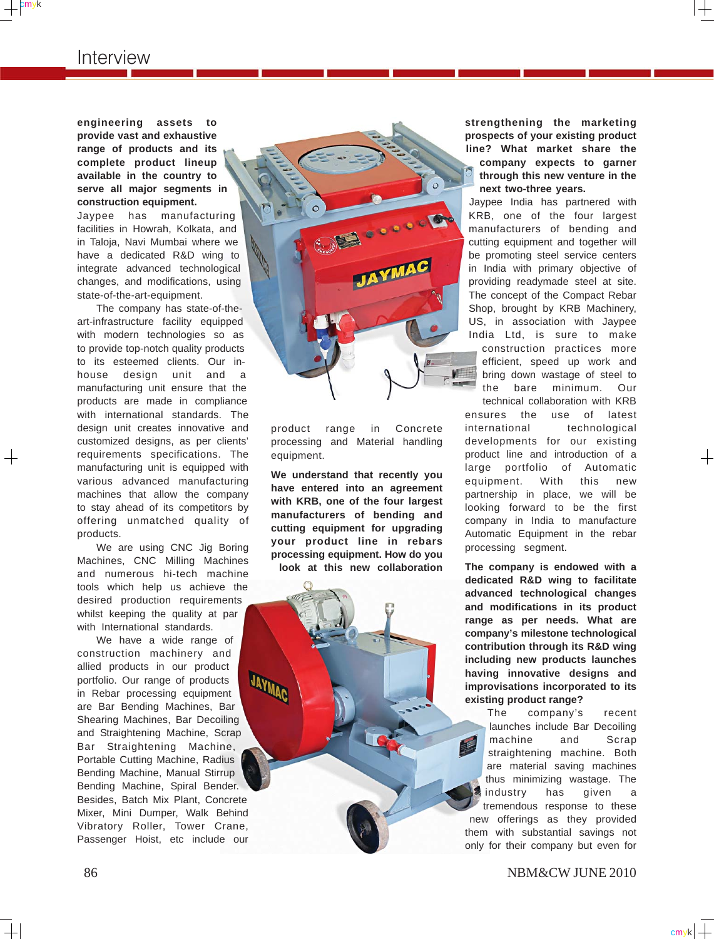## Interview

cmyk

**engineering assets to provide vast and exhaustive range of products and its complete product lineup available in the country to serve all major segments in construction equipment.**

Jaypee has manufacturing facilities in Howrah, Kolkata, and in Taloja, Navi Mumbai where we have a dedicated R&D wing to integrate advanced technological changes, and modifications, using state-of-the-art-equipment.

The company has state-of-theart-infrastructure facility equipped with modern technologies so as to provide top-notch quality products to its esteemed clients. Our inhouse design unit and a manufacturing unit ensure that the products are made in compliance with international standards. The design unit creates innovative and customized designs, as per clients' requirements specifications. The manufacturing unit is equipped with various advanced manufacturing machines that allow the company to stay ahead of its competitors by offering unmatched quality of products.

We are using CNC Jig Boring Machines, CNC Milling Machines and numerous hi-tech machine tools which help us achieve the desired production requirements whilst keeping the quality at par with International standards.

We have a wide range of construction machinery and allied products in our product portfolio. Our range of products in Rebar processing equipment are Bar Bending Machines, Bar Shearing Machines, Bar Decoiling and Straightening Machine, Scrap Bar Straightening Machine, Portable Cutting Machine, Radius Bending Machine, Manual Stirrup Bending Machine, Spiral Bender. Besides, Batch Mix Plant, Concrete Mixer, Mini Dumper, Walk Behind Vibratory Roller, Tower Crane, Passenger Hoist, etc include our



product range in Concrete processing and Material handling equipment.

**We understand that recently you have entered into an agreement with KRB, one of the four largest manufacturers of bending and cutting equipment for upgrading your product line in rebars processing equipment. How do you look at this new collaboration**

**UNITED** 

**strengthening the marketing prospects of your existing product line? What market share the company expects to garner through this new venture in the next two-three years.**

Jaypee India has partnered with KRB, one of the four largest manufacturers of bending and cutting equipment and together will be promoting steel service centers in India with primary objective of providing readymade steel at site. The concept of the Compact Rebar Shop, brought by KRB Machinery, US, in association with Jaypee India Ltd, is sure to make construction practices more efficient, speed up work and bring down wastage of steel to the bare minimum. Our technical collaboration with KRB

ensures the use of latest international technological developments for our existing product line and introduction of a large portfolio of Automatic equipment. With this new partnership in place, we will be looking forward to be the first company in India to manufacture Automatic Equipment in the rebar processing segment.

**The company is endowed with a dedicated R&D wing to facilitate advanced technological changes and modifications in its product range as per needs. What are company's milestone technological contribution through its R&D wing including new products launches having innovative designs and improvisations incorporated to its existing product range?**

The company's recent launches include Bar Decoiling machine and Scrap straightening machine. Both are material saving machines thus minimizing wastage. The industry has given a tremendous response to these new offerings as they provided them with substantial savings not only for their company but even for

 $cm$ <sub>y</sub>k $\vert \perp$